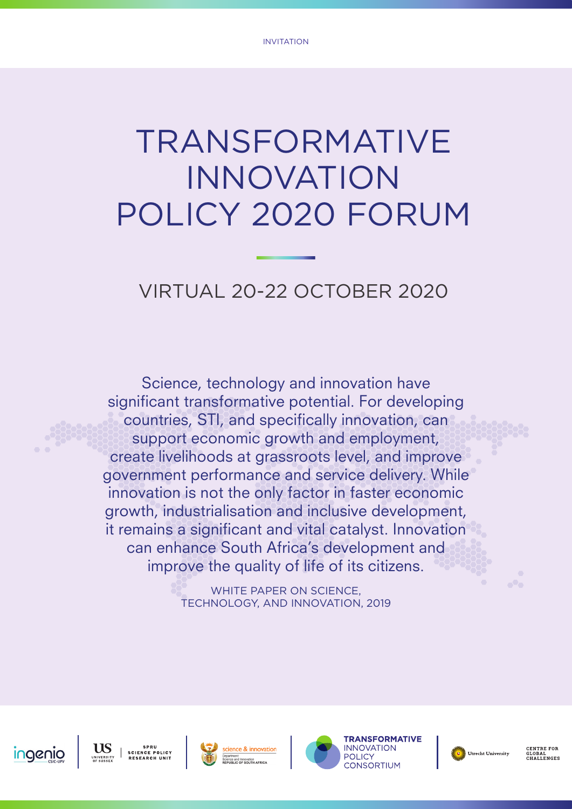# TRANSFORMATIVE INNOVATION POLICY 2020 FORUM

## VIRTUAL 20-22 OCTOBER 2020

Science, technology and innovation have significant transformative potential. For developing countries, STI, and specifically innovation, can support economic growth and employment, create livelihoods at grassroots level, and improve government performance and service delivery. While innovation is not the only factor in faster economic growth, industrialisation and inclusive development, it remains a significant and vital catalyst. Innovation can enhance South Africa's development and improve the quality of life of its citizens.

> WHITE PAPER ON SCIENCE, TECHNOLOGY, AND INNOVATION, 2019









Utrecht University

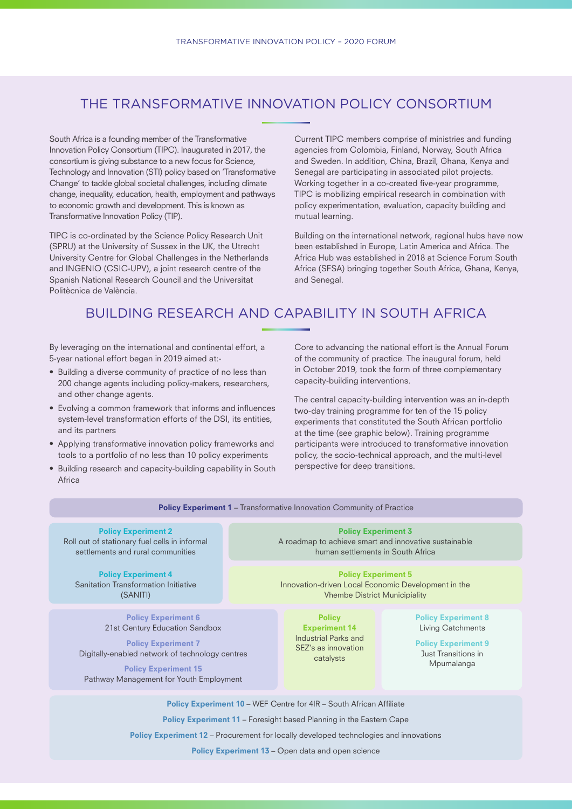#### THE TRANSFORMATIVE INNOVATION POLICY CONSORTIUM

South Africa is a founding member of the Transformative Innovation Policy Consortium (TIPC). Inaugurated in 2017, the consortium is giving substance to a new focus for Science, Technology and Innovation (STI) policy based on 'Transformative Change' to tackle global societal challenges, including climate change, inequality, education, health, employment and pathways to economic growth and development. This is known as Transformative Innovation Policy (TIP).

TIPC is co-ordinated by the Science Policy Research Unit (SPRU) at the University of Sussex in the UK, the Utrecht University Centre for Global Challenges in the Netherlands and INGENIO (CSIC-UPV), a joint research centre of the Spanish National Research Council and the Universitat Politècnica de València.

Current TIPC members comprise of ministries and funding agencies from Colombia, Finland, Norway, South Africa and Sweden. In addition, China, Brazil, Ghana, Kenya and Senegal are participating in associated pilot projects. Working together in a co-created five-year programme, TIPC is mobilizing empirical research in combination with policy experimentation, evaluation, capacity building and mutual learning.

Building on the international network, regional hubs have now been established in Europe, Latin America and Africa. The Africa Hub was established in 2018 at Science Forum South Africa (SFSA) bringing together South Africa, Ghana, Kenya, and Senegal.

#### BUILDING RESEARCH AND CAPABILITY IN SOUTH AFRICA

By leveraging on the international and continental effort, a 5-year national effort began in 2019 aimed at:-

- Building a diverse community of practice of no less than 200 change agents including policy-makers, researchers, and other change agents.
- Evolving a common framework that informs and influences system-level transformation efforts of the DSI, its entities, and its partners
- Applying transformative innovation policy frameworks and tools to a portfolio of no less than 10 policy experiments
- Building research and capacity-building capability in South Africa

Core to advancing the national effort is the Annual Forum of the community of practice. The inaugural forum, held in October 2019, took the form of three complementary capacity-building interventions.

The central capacity-building intervention was an in-depth two-day training programme for ten of the 15 policy experiments that constituted the South African portfolio at the time (see graphic below). Training programme participants were introduced to transformative innovation policy, the socio-technical approach, and the multi-level perspective for deep transitions.

| search and capacity-building capability in South<br>perspective for acep transitions.                                                                                                                                                                                                                         |                                                                                                                           |                                                                                                   |                                                                                                                    |  |  |
|---------------------------------------------------------------------------------------------------------------------------------------------------------------------------------------------------------------------------------------------------------------------------------------------------------------|---------------------------------------------------------------------------------------------------------------------------|---------------------------------------------------------------------------------------------------|--------------------------------------------------------------------------------------------------------------------|--|--|
| <b>Policy Experiment 1 - Transformative Innovation Community of Practice</b>                                                                                                                                                                                                                                  |                                                                                                                           |                                                                                                   |                                                                                                                    |  |  |
| <b>Policy Experiment 2</b><br>stationary fuel cells in informal<br>nents and rural communities                                                                                                                                                                                                                | <b>Policy Experiment 3</b><br>A roadmap to achieve smart and innovative sustainable<br>human settlements in South Africa  |                                                                                                   |                                                                                                                    |  |  |
| <b>Policy Experiment 4</b><br>ion Transformation Initiative<br>(SANITI)                                                                                                                                                                                                                                       | <b>Policy Experiment 5</b><br>Innovation-driven Local Economic Development in the<br><b>Vhembe District Municipiality</b> |                                                                                                   |                                                                                                                    |  |  |
| <b>Policy Experiment 6</b><br>21st Century Education Sandbox<br><b>Policy Experiment 7</b><br>Illy-enabled network of technology centres<br><b>Policy Experiment 15</b><br>way Management for Youth Employment                                                                                                |                                                                                                                           | <b>Policy</b><br><b>Experiment 14</b><br>Industrial Parks and<br>SEZ's as innovation<br>catalysts | <b>Policy Experiment 8</b><br>Living Catchments<br><b>Policy Experiment 9</b><br>Just Transitions in<br>Mpumalanga |  |  |
| <b>Policy Experiment 10 - WEF Centre for 4IR - South African Affiliate</b><br><b>Policy Experiment 11 - Foresight based Planning in the Eastern Cape</b><br>Policy Experiment 12 - Procurement for locally developed technologies and innovations<br><b>Policy Experiment 13 – Open data and open science</b> |                                                                                                                           |                                                                                                   |                                                                                                                    |  |  |
|                                                                                                                                                                                                                                                                                                               |                                                                                                                           |                                                                                                   |                                                                                                                    |  |  |

Roll out of settlem

Sanitati

Digital

Pathway Management for Youth Employment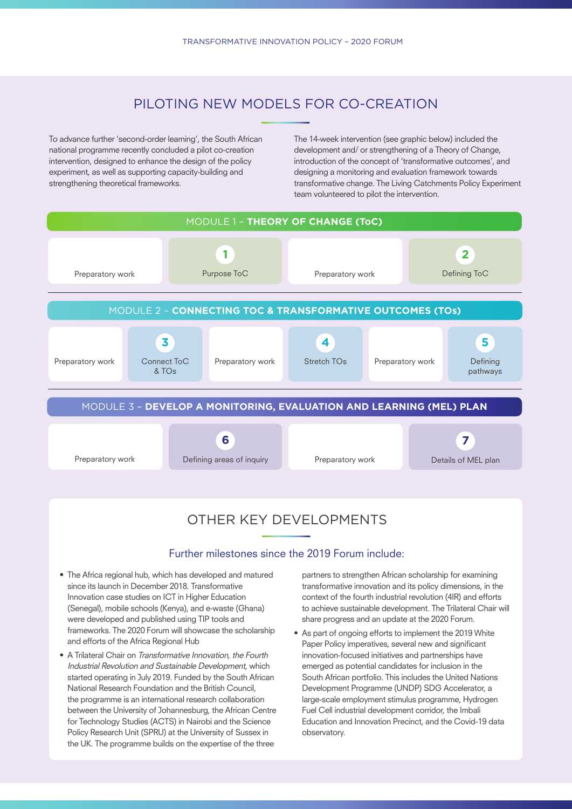#### PILOTING NEW MODELS FOR CO-CREATION

To advance further 'second-order learning', the South African national programme recently concluded a pilot co-creation intervention, designed to enhance the design of the policy experiment, as well as supporting capacity-building and strengthening theoretical frameworks.

The 14-week intervention (see graphic below) included the development and/ or strengthening of a Theory of Change, introduction of the concept of 'transformative outcomes', and designing a monitoring and evaluation framework towards transformative change. The Living Catchments Policy Experiment team volunteered to pilot the intervention.



### Further milestones since the 2019 Forum include:

- The Africa regional hub, which has developed and matured since its launch in December 2018. Transformative Innovation case studies on ICT in Higher Education (Senegal), mobile schools (Kenya), and e-waste (Ghana) were developed and published using TIP tools and frameworks. The 2020 Forum will showcase the scholarship and efforts of the Africa Regional Hub
- A Trilateral Chair on Transformative Innovation, the Fourth Industrial Revolution and Sustainable Development, which started operating in July 2019. Funded by the South African National Research Foundation and the British Council, the programme is an international research collaboration between the University of Johannesburg, the African Centre for Technology Studies (ACTS) in Nairobi and the Science Policy Research Unit (SPRU) at the University of Sussex in the UK. The programme builds on the expertise of the three

partners to strengthen African scholarship for examining transformative innovation and its policy dimensions, in the context of the fourth industrial revolution (4IR) and efforts to achieve sustainable development. The Trilateral Chair will share progress and an update at the 2020 Forum.

• As part of ongoing efforts to implement the 2019 White Paper Policy imperatives, several new and significant innovation-focused initiatives and partnerships have emerged as potential candidates for inclusion in the South African portfolio. This includes the United Nations Development Programme (UNDP) SDG Accelerator, a large-scale employment stimulus programme, Hydrogen Fuel Cell industrial development corridor, the Imbali Education and Innovation Precinct, and the Covid-19 data observatory.